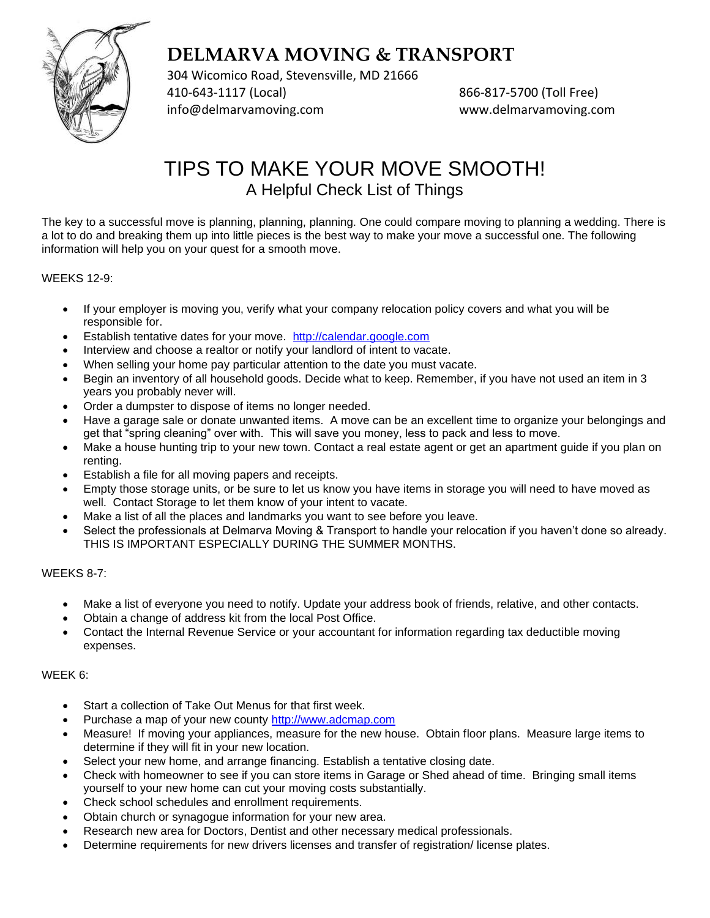

304 Wicomico Road, Stevensville, MD 21666 410-643-1117 (Local) 866-817-5700 (Toll Free) [info@delmarvamoving.com](mailto:info@delmarvamoving.com) [www.delmarvamoving.com](http://www.delmarvamoving.com/)

## TIPS TO MAKE YOUR MOVE SMOOTH! A Helpful Check List of Things

The key to a successful move is planning, planning, planning. One could compare moving to planning a wedding. There is a lot to do and breaking them up into little pieces is the best way to make your move a successful one. The following information will help you on your quest for a smooth move.

## WEEKS 12-9:

- If your employer is moving you, verify what your company relocation policy covers and what you will be responsible for.
- Establish tentative dates for your move. [http://calendar.google.com](http://calendar.google.com/)
- Interview and choose a realtor or notify your landlord of intent to vacate.
- When selling your home pay particular attention to the date you must vacate.
- Begin an inventory of all household goods. Decide what to keep. Remember, if you have not used an item in 3 years you probably never will.
- Order a dumpster to dispose of items no longer needed.
- Have a garage sale or donate unwanted items. A move can be an excellent time to organize your belongings and get that "spring cleaning" over with. This will save you money, less to pack and less to move.
- Make a house hunting trip to your new town. Contact a real estate agent or get an apartment guide if you plan on renting.
- Establish a file for all moving papers and receipts.
- Empty those storage units, or be sure to let us know you have items in storage you will need to have moved as well. Contact Storage to let them know of your intent to vacate.
- Make a list of all the places and landmarks you want to see before you leave.
- Select the professionals at Delmarva Moving & Transport to handle your relocation if you haven't done so already. THIS IS IMPORTANT ESPECIALLY DURING THE SUMMER MONTHS.

## WEEKS 8-7:

- Make a list of everyone you need to notify. Update your address book of friends, relative, and other contacts.
- Obtain a change of address kit from the local Post Office.
- Contact the Internal Revenue Service or your accountant for information regarding tax deductible moving expenses.

## WEEK 6:

- Start a collection of Take Out Menus for that first week.
- Purchase a map of your new county [http://www.adcmap.com](http://www.adcmap.com/)
- Measure! If moving your appliances, measure for the new house. Obtain floor plans. Measure large items to determine if they will fit in your new location.
- Select your new home, and arrange financing. Establish a tentative closing date.
- Check with homeowner to see if you can store items in Garage or Shed ahead of time. Bringing small items yourself to your new home can cut your moving costs substantially.
- Check school schedules and enrollment requirements.
- Obtain church or synagogue information for your new area.
- Research new area for Doctors, Dentist and other necessary medical professionals.
- Determine requirements for new drivers licenses and transfer of registration/ license plates.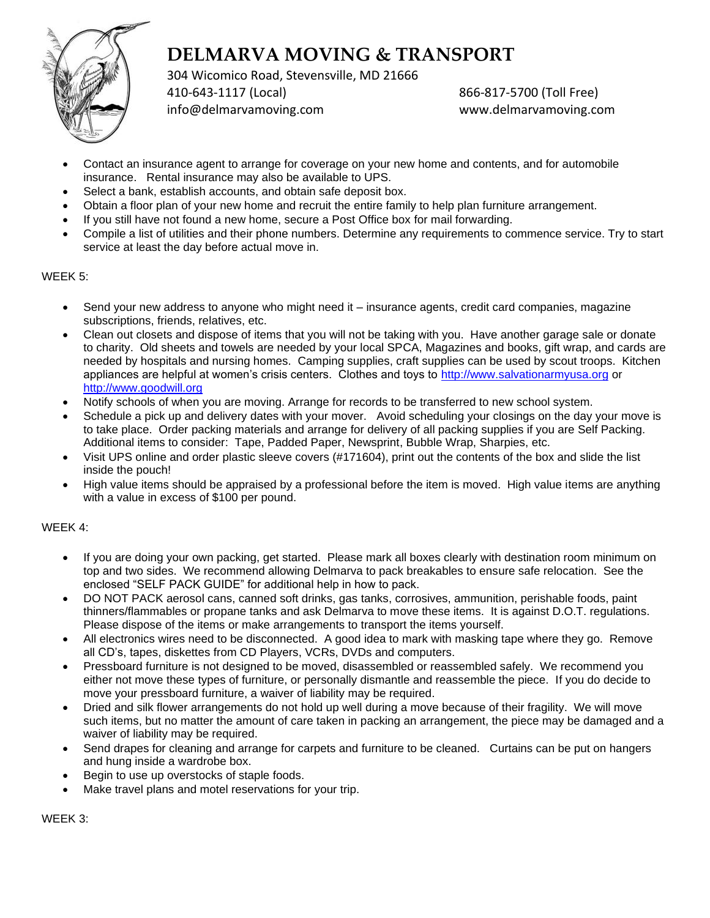

304 Wicomico Road, Stevensville, MD 21666 410-643-1117 (Local) 866-817-5700 (Toll Free)

[info@delmarvamoving.com](mailto:info@delmarvamoving.com) [www.delmarvamoving.com](http://www.delmarvamoving.com/)

- Contact an insurance agent to arrange for coverage on your new home and contents, and for automobile insurance. Rental insurance may also be available to UPS.
- Select a bank, establish accounts, and obtain safe deposit box.
- Obtain a floor plan of your new home and recruit the entire family to help plan furniture arrangement.
- If you still have not found a new home, secure a Post Office box for mail forwarding.
- Compile a list of utilities and their phone numbers. Determine any requirements to commence service. Try to start service at least the day before actual move in.

## WEEK 5:

- Send your new address to anyone who might need it insurance agents, credit card companies, magazine subscriptions, friends, relatives, etc.
- Clean out closets and dispose of items that you will not be taking with you. Have another garage sale or donate to charity. Old sheets and towels are needed by your local SPCA, Magazines and books, gift wrap, and cards are needed by hospitals and nursing homes. Camping supplies, craft supplies can be used by scout troops. Kitchen appliances are helpful at women's crisis centers. Clothes and toys to [http://www.salvationarmyusa.org](http://www.salvationarmyusa.org/) or [http://www.goodwill.org](http://www.goodwill.org/)
- Notify schools of when you are moving. Arrange for records to be transferred to new school system.
- Schedule a pick up and delivery dates with your mover. Avoid scheduling your closings on the day your move is to take place. Order packing materials and arrange for delivery of all packing supplies if you are Self Packing. Additional items to consider: Tape, Padded Paper, Newsprint, Bubble Wrap, Sharpies, etc.
- Visit UPS online and order plastic sleeve covers (#171604), print out the contents of the box and slide the list inside the pouch!
- High value items should be appraised by a professional before the item is moved. High value items are anything with a value in excess of \$100 per pound.

## WEEK 4:

- If you are doing your own packing, get started. Please mark all boxes clearly with destination room minimum on top and two sides. We recommend allowing Delmarva to pack breakables to ensure safe relocation. See the enclosed "SELF PACK GUIDE" for additional help in how to pack.
- DO NOT PACK aerosol cans, canned soft drinks, gas tanks, corrosives, ammunition, perishable foods, paint thinners/flammables or propane tanks and ask Delmarva to move these items. It is against D.O.T. regulations. Please dispose of the items or make arrangements to transport the items yourself.
- All electronics wires need to be disconnected. A good idea to mark with masking tape where they go. Remove all CD's, tapes, diskettes from CD Players, VCRs, DVDs and computers.
- Pressboard furniture is not designed to be moved, disassembled or reassembled safely. We recommend you either not move these types of furniture, or personally dismantle and reassemble the piece. If you do decide to move your pressboard furniture, a waiver of liability may be required.
- Dried and silk flower arrangements do not hold up well during a move because of their fragility. We will move such items, but no matter the amount of care taken in packing an arrangement, the piece may be damaged and a waiver of liability may be required.
- Send drapes for cleaning and arrange for carpets and furniture to be cleaned. Curtains can be put on hangers and hung inside a wardrobe box.
- Begin to use up overstocks of staple foods.
- Make travel plans and motel reservations for your trip.

WEEK 3: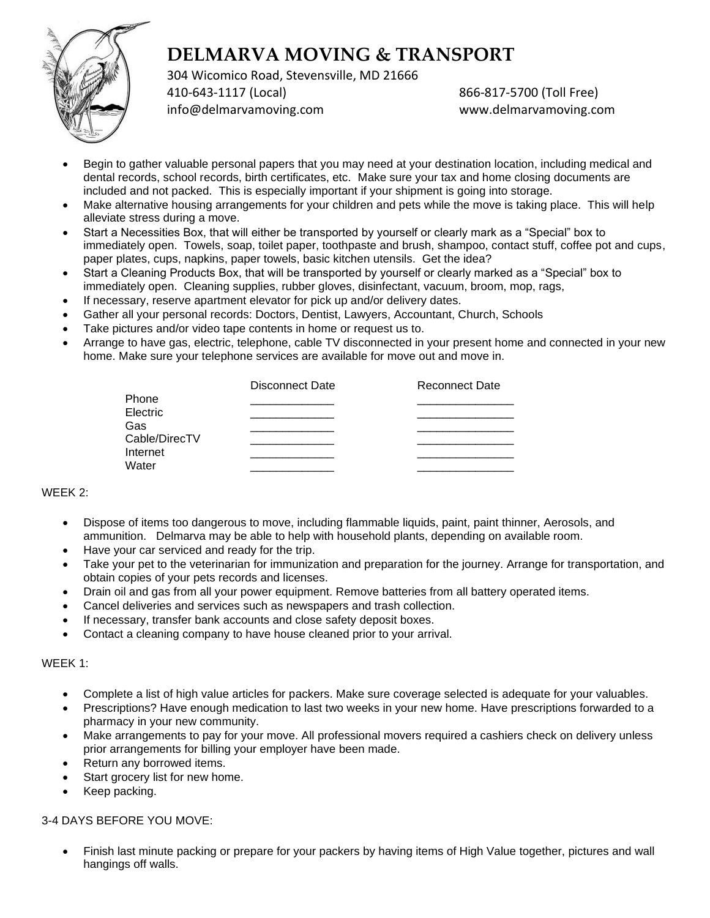

304 Wicomico Road, Stevensville, MD 21666 410-643-1117 (Local) 866-817-5700 (Toll Free) [info@delmarvamoving.com](mailto:info@delmarvamoving.com) [www.delmarvamoving.com](http://www.delmarvamoving.com/)

- Begin to gather valuable personal papers that you may need at your destination location, including medical and dental records, school records, birth certificates, etc. Make sure your tax and home closing documents are included and not packed. This is especially important if your shipment is going into storage.
- Make alternative housing arrangements for your children and pets while the move is taking place. This will help alleviate stress during a move.
- Start a Necessities Box, that will either be transported by yourself or clearly mark as a "Special" box to immediately open. Towels, soap, toilet paper, toothpaste and brush, shampoo, contact stuff, coffee pot and cups, paper plates, cups, napkins, paper towels, basic kitchen utensils. Get the idea?
- Start a Cleaning Products Box, that will be transported by yourself or clearly marked as a "Special" box to immediately open. Cleaning supplies, rubber gloves, disinfectant, vacuum, broom, mop, rags,
- If necessary, reserve apartment elevator for pick up and/or delivery dates.
- Gather all your personal records: Doctors, Dentist, Lawyers, Accountant, Church, Schools
- Take pictures and/or video tape contents in home or request us to.
- Arrange to have gas, electric, telephone, cable TV disconnected in your present home and connected in your new home. Make sure your telephone services are available for move out and move in.

|               | Disconnect Date | <b>Reconnect Date</b> |
|---------------|-----------------|-----------------------|
| <b>Phone</b>  |                 |                       |
| Electric      |                 |                       |
| Gas           |                 |                       |
| Cable/DirecTV |                 |                       |
| Internet      |                 |                       |
| Water         |                 |                       |

#### WEEK 2:

- Dispose of items too dangerous to move, including flammable liquids, paint, paint thinner, Aerosols, and ammunition. Delmarva may be able to help with household plants, depending on available room.
- Have your car serviced and ready for the trip.
- Take your pet to the veterinarian for immunization and preparation for the journey. Arrange for transportation, and obtain copies of your pets records and licenses.
- Drain oil and gas from all your power equipment. Remove batteries from all battery operated items.
- Cancel deliveries and services such as newspapers and trash collection.
- If necessary, transfer bank accounts and close safety deposit boxes.
- Contact a cleaning company to have house cleaned prior to your arrival.

#### WEEK 1:

- Complete a list of high value articles for packers. Make sure coverage selected is adequate for your valuables.
- Prescriptions? Have enough medication to last two weeks in your new home. Have prescriptions forwarded to a pharmacy in your new community.
- Make arrangements to pay for your move. All professional movers required a cashiers check on delivery unless prior arrangements for billing your employer have been made.
- Return any borrowed items.
- Start grocery list for new home.
- Keep packing.

#### 3-4 DAYS BEFORE YOU MOVE:

• Finish last minute packing or prepare for your packers by having items of High Value together, pictures and wall hangings off walls.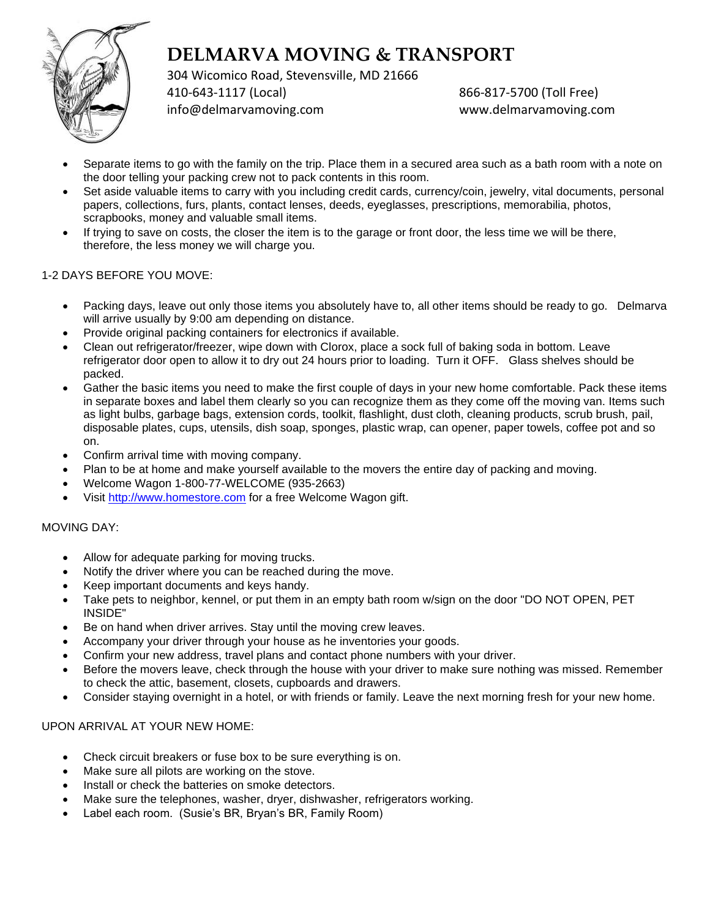

304 Wicomico Road, Stevensville, MD 21666 410-643-1117 (Local) 866-817-5700 (Toll Free) [info@delmarvamoving.com](mailto:info@delmarvamoving.com) [www.delmarvamoving.com](http://www.delmarvamoving.com/)

- Separate items to go with the family on the trip. Place them in a secured area such as a bath room with a note on the door telling your packing crew not to pack contents in this room.
- Set aside valuable items to carry with you including credit cards, currency/coin, jewelry, vital documents, personal papers, collections, furs, plants, contact lenses, deeds, eyeglasses, prescriptions, memorabilia, photos, scrapbooks, money and valuable small items.
- If trying to save on costs, the closer the item is to the garage or front door, the less time we will be there, therefore, the less money we will charge you.

## 1-2 DAYS BEFORE YOU MOVE:

- Packing days, leave out only those items you absolutely have to, all other items should be ready to go. Delmarva will arrive usually by 9:00 am depending on distance.
- Provide original packing containers for electronics if available.
- Clean out refrigerator/freezer, wipe down with Clorox, place a sock full of baking soda in bottom. Leave refrigerator door open to allow it to dry out 24 hours prior to loading. Turn it OFF. Glass shelves should be packed.
- Gather the basic items you need to make the first couple of days in your new home comfortable. Pack these items in separate boxes and label them clearly so you can recognize them as they come off the moving van. Items such as light bulbs, garbage bags, extension cords, toolkit, flashlight, dust cloth, cleaning products, scrub brush, pail, disposable plates, cups, utensils, dish soap, sponges, plastic wrap, can opener, paper towels, coffee pot and so on.
- Confirm arrival time with moving company.
- Plan to be at home and make yourself available to the movers the entire day of packing and moving.
- Welcome Wagon 1-800-77-WELCOME (935-2663)
- Visit [http://www.homestore.com](http://www.homestore.com/) for a free Welcome Wagon gift.

## MOVING DAY:

- Allow for adequate parking for moving trucks.
- Notify the driver where you can be reached during the move.
- Keep important documents and keys handy.
- Take pets to neighbor, kennel, or put them in an empty bath room w/sign on the door "DO NOT OPEN, PET INSIDE"
- Be on hand when driver arrives. Stay until the moving crew leaves.
- Accompany your driver through your house as he inventories your goods.
- Confirm your new address, travel plans and contact phone numbers with your driver.
- Before the movers leave, check through the house with your driver to make sure nothing was missed. Remember to check the attic, basement, closets, cupboards and drawers.
- Consider staying overnight in a hotel, or with friends or family. Leave the next morning fresh for your new home.

## UPON ARRIVAL AT YOUR NEW HOME:

- Check circuit breakers or fuse box to be sure everything is on.
- Make sure all pilots are working on the stove.
- Install or check the batteries on smoke detectors.
- Make sure the telephones, washer, dryer, dishwasher, refrigerators working.
- Label each room. (Susie's BR, Bryan's BR, Family Room)